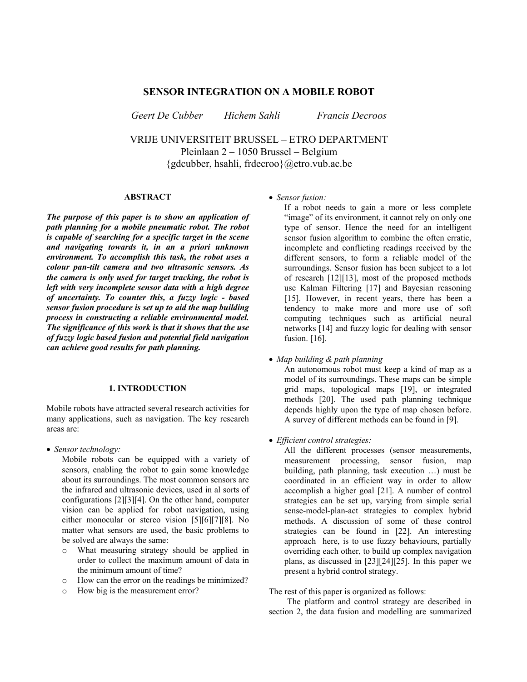# **SENSOR INTEGRATION ON A MOBILE ROBOT**

*Geert De Cubber Hichem Sahli Francis Decroos* 

VRIJE UNIVERSITEIT BRUSSEL – ETRO DEPARTMENT Pleinlaan 2 – 1050 Brussel – Belgium {gdcubber, hsahli, frdecroo}@etro.vub.ac.be

## **ABSTRACT**

*The purpose of this paper is to show an application of path planning for a mobile pneumatic robot. The robot is capable of searching for a specific target in the scene and navigating towards it, in an a priori unknown environment. To accomplish this task, the robot uses a colour pan-tilt camera and two ultrasonic sensors. As the camera is only used for target tracking, the robot is left with very incomplete sensor data with a high degree of uncertainty. To counter this, a fuzzy logic - based sensor fusion procedure is set up to aid the map building process in constructing a reliable environmental model. The significance of this work is that it shows that the use of fuzzy logic based fusion and potential field navigation can achieve good results for path planning.*

#### **1. INTRODUCTION**

Mobile robots have attracted several research activities for many applications, such as navigation. The key research areas are:

• *Sensor technology:* 

Mobile robots can be equipped with a variety of sensors, enabling the robot to gain some knowledge about its surroundings. The most common sensors are the infrared and ultrasonic devices, used in al sorts of configurations [2][3][4]. On the other hand, computer vision can be applied for robot navigation, using either monocular or stereo vision [5][6][7][8]. No matter what sensors are used, the basic problems to be solved are always the same:

- o What measuring strategy should be applied in order to collect the maximum amount of data in the minimum amount of time?
- o How can the error on the readings be minimized?
- o How big is the measurement error?

• *Sensor fusion:* 

If a robot needs to gain a more or less complete "image" of its environment, it cannot rely on only one type of sensor. Hence the need for an intelligent sensor fusion algorithm to combine the often erratic, incomplete and conflicting readings received by the different sensors, to form a reliable model of the surroundings. Sensor fusion has been subject to a lot of research [12][13], most of the proposed methods use Kalman Filtering [17] and Bayesian reasoning [15]. However, in recent years, there has been a tendency to make more and more use of soft computing techniques such as artificial neural networks [14] and fuzzy logic for dealing with sensor fusion. [16].

• *Map building & path planning* 

An autonomous robot must keep a kind of map as a model of its surroundings. These maps can be simple grid maps, topological maps [19], or integrated methods [20]. The used path planning technique depends highly upon the type of map chosen before. A survey of different methods can be found in [9].

• *Efficient control strategies:* 

All the different processes (sensor measurements, measurement processing, sensor fusion, map building, path planning, task execution …) must be coordinated in an efficient way in order to allow accomplish a higher goal [21]. A number of control strategies can be set up, varying from simple serial sense-model-plan-act strategies to complex hybrid methods. A discussion of some of these control strategies can be found in [22]. An interesting approach here, is to use fuzzy behaviours, partially overriding each other, to build up complex navigation plans, as discussed in [23][24][25]. In this paper we present a hybrid control strategy.

The rest of this paper is organized as follows:

The platform and control strategy are described in section 2, the data fusion and modelling are summarized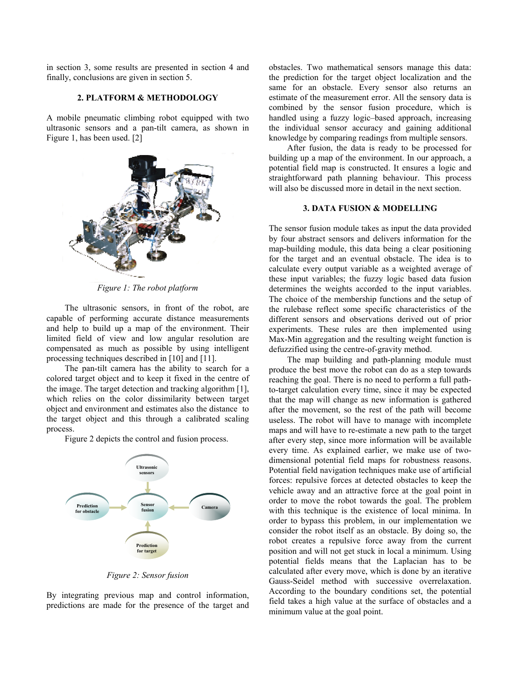in section 3, some results are presented in section 4 and finally, conclusions are given in section 5.

#### **2. PLATFORM & METHODOLOGY**

A mobile pneumatic climbing robot equipped with two ultrasonic sensors and a pan-tilt camera, as shown in Figure 1, has been used. [2]



*Figure 1: The robot platform* 

The ultrasonic sensors, in front of the robot, are capable of performing accurate distance measurements and help to build up a map of the environment. Their limited field of view and low angular resolution are compensated as much as possible by using intelligent processing techniques described in [10] and [11].

The pan-tilt camera has the ability to search for a colored target object and to keep it fixed in the centre of the image. The target detection and tracking algorithm [1], which relies on the color dissimilarity between target object and environment and estimates also the distance to the target object and this through a calibrated scaling process.

Figure 2 depicts the control and fusion process.



*Figure 2: Sensor fusion* 

By integrating previous map and control information, predictions are made for the presence of the target and obstacles. Two mathematical sensors manage this data: the prediction for the target object localization and the same for an obstacle. Every sensor also returns an estimate of the measurement error. All the sensory data is combined by the sensor fusion procedure, which is handled using a fuzzy logic–based approach, increasing the individual sensor accuracy and gaining additional knowledge by comparing readings from multiple sensors.

After fusion, the data is ready to be processed for building up a map of the environment. In our approach, a potential field map is constructed. It ensures a logic and straightforward path planning behaviour. This process will also be discussed more in detail in the next section.

## **3. DATA FUSION & MODELLING**

The sensor fusion module takes as input the data provided by four abstract sensors and delivers information for the map-building module, this data being a clear positioning for the target and an eventual obstacle. The idea is to calculate every output variable as a weighted average of these input variables; the fuzzy logic based data fusion determines the weights accorded to the input variables. The choice of the membership functions and the setup of the rulebase reflect some specific characteristics of the different sensors and observations derived out of prior experiments. These rules are then implemented using Max-Min aggregation and the resulting weight function is defuzzified using the centre-of-gravity method.

The map building and path-planning module must produce the best move the robot can do as a step towards reaching the goal. There is no need to perform a full pathto-target calculation every time, since it may be expected that the map will change as new information is gathered after the movement, so the rest of the path will become useless. The robot will have to manage with incomplete maps and will have to re-estimate a new path to the target after every step, since more information will be available every time. As explained earlier, we make use of twodimensional potential field maps for robustness reasons. Potential field navigation techniques make use of artificial forces: repulsive forces at detected obstacles to keep the vehicle away and an attractive force at the goal point in order to move the robot towards the goal. The problem with this technique is the existence of local minima. In order to bypass this problem, in our implementation we consider the robot itself as an obstacle. By doing so, the robot creates a repulsive force away from the current position and will not get stuck in local a minimum. Using potential fields means that the Laplacian has to be calculated after every move, which is done by an iterative Gauss-Seidel method with successive overrelaxation. According to the boundary conditions set, the potential field takes a high value at the surface of obstacles and a minimum value at the goal point.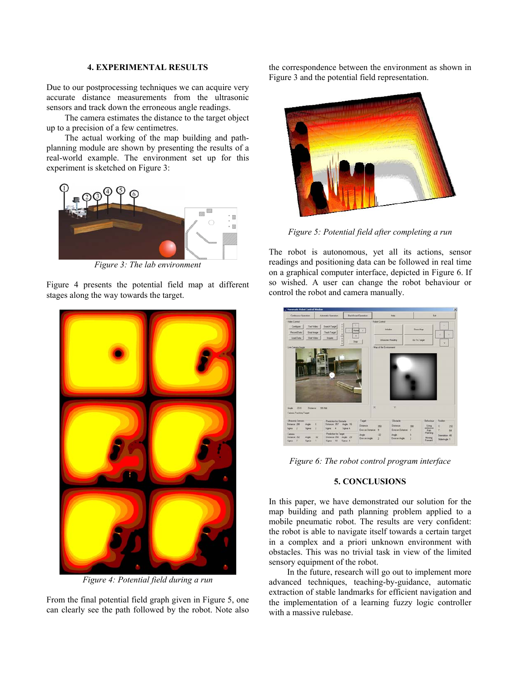## **4. EXPERIMENTAL RESULTS**

Due to our postprocessing techniques we can acquire very accurate distance measurements from the ultrasonic sensors and track down the erroneous angle readings.

The camera estimates the distance to the target object up to a precision of a few centimetres.

The actual working of the map building and pathplanning module are shown by presenting the results of a real-world example. The environment set up for this experiment is sketched on Figure 3:



*Figure 3: The lab environment*

Figure 4 presents the potential field map at different stages along the way towards the target.



*Figure 4: Potential field during a run* 

From the final potential field graph given in Figure 5, one can clearly see the path followed by the robot. Note also the correspondence between the environment as shown in Figure 3 and the potential field representation.



*Figure 5: Potential field after completing a run*

The robot is autonomous, yet all its actions, sensor readings and positioning data can be followed in real time on a graphical computer interface, depicted in Figure 6. If so wished. A user can change the robot behaviour or control the robot and camera manually.



*Figure 6: The robot control program interface* 

## **5. CONCLUSIONS**

In this paper, we have demonstrated our solution for the map building and path planning problem applied to a mobile pneumatic robot. The results are very confident: the robot is able to navigate itself towards a certain target in a complex and a priori unknown environment with obstacles. This was no trivial task in view of the limited sensory equipment of the robot.

In the future, research will go out to implement more advanced techniques, teaching-by-guidance, automatic extraction of stable landmarks for efficient navigation and the implementation of a learning fuzzy logic controller with a massive rulebase.